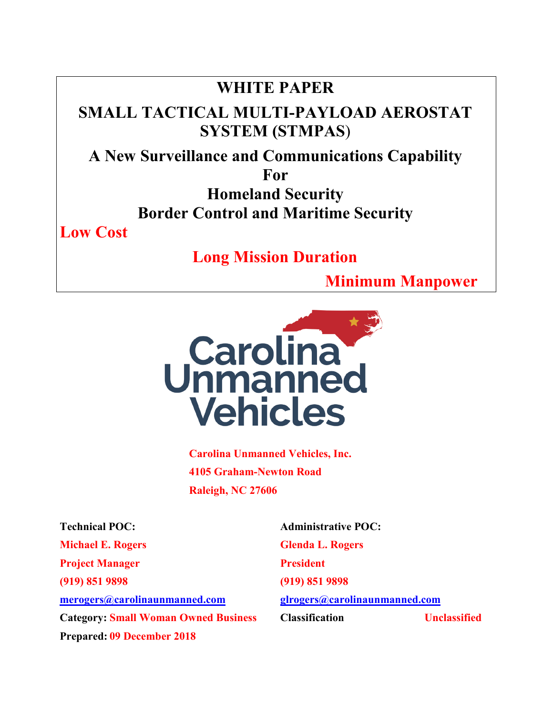## **WHITE PAPER**

# **SMALL TACTICAL MULTI-PAYLOAD AEROSTAT SYSTEM (STMPAS**)

# **A New Surveillance and Communications Capability**

**For** 

**Homeland Security Border Control and Maritime Security** 

**Low Cost** 

 **Long Mission Duration** 

 **Minimum Manpower** 



**Carolina Unmanned Vehicles, Inc. 4105 Graham-Newton Road Raleigh, NC 27606** 

**Michael E. Rogers Glenda L. Rogers Project Manager President (919) 851 9898 (919) 851 9898 merogers@carolinaunmanned.com glrogers@carolinaunmanned.com Prepared: 09 December 2018** 

**Technical POC:** Administrative POC: **Category: Small Woman Owned Business Classification Unclassified Category: Small Woman Owned Business Classification**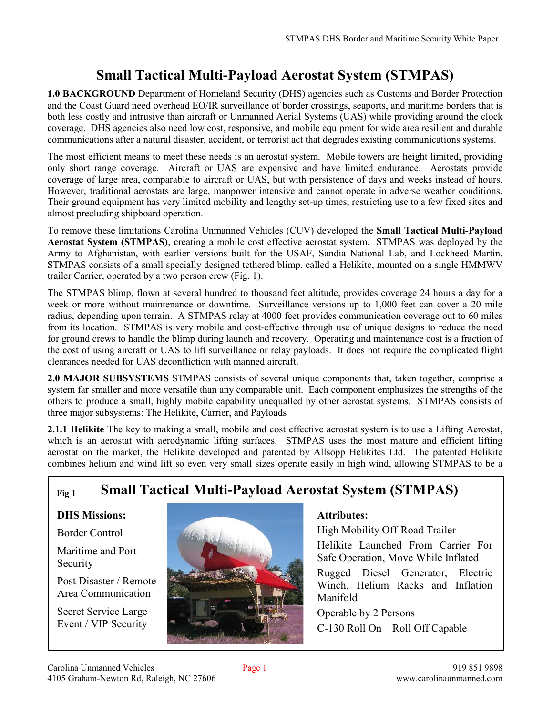### **Small Tactical Multi-Payload Aerostat System (STMPAS)**

**1.0 BACKGROUND** Department of Homeland Security (DHS) agencies such as Customs and Border Protection and the Coast Guard need overhead EO/IR surveillance of border crossings, seaports, and maritime borders that is both less costly and intrusive than aircraft or Unmanned Aerial Systems (UAS) while providing around the clock coverage. DHS agencies also need low cost, responsive, and mobile equipment for wide area resilient and durable communications after a natural disaster, accident, or terrorist act that degrades existing communications systems.

The most efficient means to meet these needs is an aerostat system. Mobile towers are height limited, providing only short range coverage. Aircraft or UAS are expensive and have limited endurance. Aerostats provide coverage of large area, comparable to aircraft or UAS, but with persistence of days and weeks instead of hours. However, traditional aerostats are large, manpower intensive and cannot operate in adverse weather conditions. Their ground equipment has very limited mobility and lengthy set-up times, restricting use to a few fixed sites and almost precluding shipboard operation.

To remove these limitations Carolina Unmanned Vehicles (CUV) developed the **Small Tactical Multi-Payload Aerostat System (STMPAS)**, creating a mobile cost effective aerostat system. STMPAS was deployed by the Army to Afghanistan, with earlier versions built for the USAF, Sandia National Lab, and Lockheed Martin. STMPAS consists of a small specially designed tethered blimp, called a Helikite, mounted on a single HMMWV trailer Carrier, operated by a two person crew (Fig. 1).

The STMPAS blimp, flown at several hundred to thousand feet altitude, provides coverage 24 hours a day for a week or more without maintenance or downtime. Surveillance versions up to 1,000 feet can cover a 20 mile radius, depending upon terrain. A STMPAS relay at 4000 feet provides communication coverage out to 60 miles from its location. STMPAS is very mobile and cost-effective through use of unique designs to reduce the need for ground crews to handle the blimp during launch and recovery. Operating and maintenance cost is a fraction of the cost of using aircraft or UAS to lift surveillance or relay payloads. It does not require the complicated flight clearances needed for UAS deconfliction with manned aircraft.

**2.0 MAJOR SUBSYSTEMS** STMPAS consists of several unique components that, taken together, comprise a system far smaller and more versatile than any comparable unit. Each component emphasizes the strengths of the others to produce a small, highly mobile capability unequalled by other aerostat systems. STMPAS consists of three major subsystems: The Helikite, Carrier, and Payloads

**2.1.1 Helikite** The key to making a small, mobile and cost effective aerostat system is to use a Lifting Aerostat, which is an aerostat with aerodynamic lifting surfaces. STMPAS uses the most mature and efficient lifting aerostat on the market, the Helikite developed and patented by Allsopp Helikites Ltd. The patented Helikite combines helium and wind lift so even very small sizes operate easily in high wind, allowing STMPAS to be a

### **Fig 1 Small Tactical Multi-Payload Aerostat System (STMPAS)**

### **DHS Missions:**

Border Control

#### Maritime and Port Security

Post Disaster / Remote Area Communication

Secret Service Large Event / VIP Security



#### **Attributes:**

High Mobility Off-Road Trailer

Helikite Launched From Carrier For Safe Operation, Move While Inflated

Rugged Diesel Generator, Electric Winch, Helium Racks and Inflation Manifold

Operable by 2 Persons C-130 Roll On – Roll Off Capable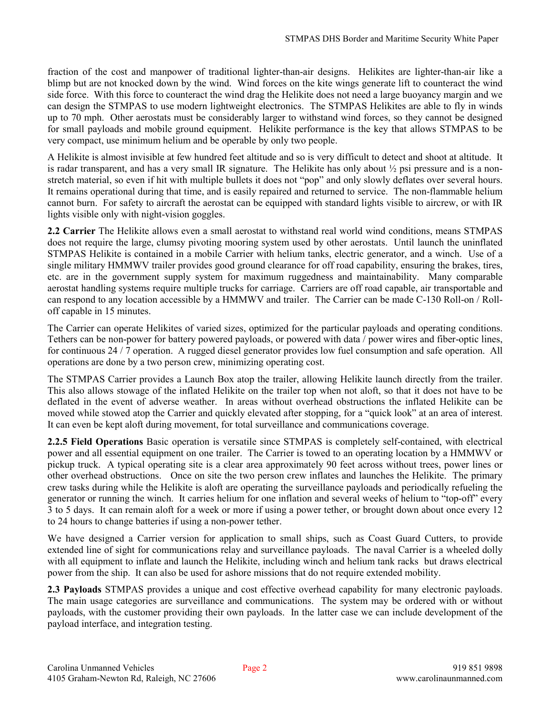fraction of the cost and manpower of traditional lighter-than-air designs. Helikites are lighter-than-air like a blimp but are not knocked down by the wind. Wind forces on the kite wings generate lift to counteract the wind side force. With this force to counteract the wind drag the Helikite does not need a large buoyancy margin and we can design the STMPAS to use modern lightweight electronics. The STMPAS Helikites are able to fly in winds up to 70 mph. Other aerostats must be considerably larger to withstand wind forces, so they cannot be designed for small payloads and mobile ground equipment. Helikite performance is the key that allows STMPAS to be very compact, use minimum helium and be operable by only two people.

A Helikite is almost invisible at few hundred feet altitude and so is very difficult to detect and shoot at altitude. It is radar transparent, and has a very small IR signature. The Helikite has only about  $\frac{1}{2}$  psi pressure and is a nonstretch material, so even if hit with multiple bullets it does not "pop" and only slowly deflates over several hours. It remains operational during that time, and is easily repaired and returned to service. The non-flammable helium cannot burn. For safety to aircraft the aerostat can be equipped with standard lights visible to aircrew, or with IR lights visible only with night-vision goggles.

**2.2 Carrier** The Helikite allows even a small aerostat to withstand real world wind conditions, means STMPAS does not require the large, clumsy pivoting mooring system used by other aerostats. Until launch the uninflated STMPAS Helikite is contained in a mobile Carrier with helium tanks, electric generator, and a winch. Use of a single military HMMWV trailer provides good ground clearance for off road capability, ensuring the brakes, tires, etc. are in the government supply system for maximum ruggedness and maintainability. Many comparable aerostat handling systems require multiple trucks for carriage. Carriers are off road capable, air transportable and can respond to any location accessible by a HMMWV and trailer. The Carrier can be made C-130 Roll-on / Rolloff capable in 15 minutes.

The Carrier can operate Helikites of varied sizes, optimized for the particular payloads and operating conditions. Tethers can be non-power for battery powered payloads, or powered with data / power wires and fiber-optic lines, for continuous 24 / 7 operation. A rugged diesel generator provides low fuel consumption and safe operation. All operations are done by a two person crew, minimizing operating cost.

The STMPAS Carrier provides a Launch Box atop the trailer, allowing Helikite launch directly from the trailer. This also allows stowage of the inflated Helikite on the trailer top when not aloft, so that it does not have to be deflated in the event of adverse weather. In areas without overhead obstructions the inflated Helikite can be moved while stowed atop the Carrier and quickly elevated after stopping, for a "quick look" at an area of interest. It can even be kept aloft during movement, for total surveillance and communications coverage.

**2.2.5 Field Operations** Basic operation is versatile since STMPAS is completely self-contained, with electrical power and all essential equipment on one trailer. The Carrier is towed to an operating location by a HMMWV or pickup truck. A typical operating site is a clear area approximately 90 feet across without trees, power lines or other overhead obstructions. Once on site the two person crew inflates and launches the Helikite. The primary crew tasks during while the Helikite is aloft are operating the surveillance payloads and periodically refueling the generator or running the winch. It carries helium for one inflation and several weeks of helium to "top-off" every 3 to 5 days. It can remain aloft for a week or more if using a power tether, or brought down about once every 12 to 24 hours to change batteries if using a non-power tether.

We have designed a Carrier version for application to small ships, such as Coast Guard Cutters, to provide extended line of sight for communications relay and surveillance payloads. The naval Carrier is a wheeled dolly with all equipment to inflate and launch the Helikite, including winch and helium tank racks but draws electrical power from the ship. It can also be used for ashore missions that do not require extended mobility.

**2.3 Payloads** STMPAS provides a unique and cost effective overhead capability for many electronic payloads. The main usage categories are surveillance and communications. The system may be ordered with or without payloads, with the customer providing their own payloads. In the latter case we can include development of the payload interface, and integration testing.